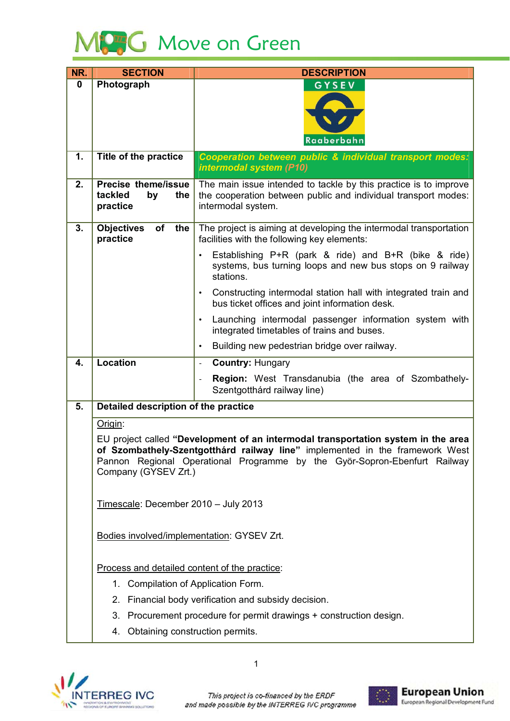

| NR. | <b>SECTION</b>                                                                                                                                                                                                                                                         | <b>DESCRIPTION</b>                                                                                                                                       |
|-----|------------------------------------------------------------------------------------------------------------------------------------------------------------------------------------------------------------------------------------------------------------------------|----------------------------------------------------------------------------------------------------------------------------------------------------------|
| 0   | Photograph                                                                                                                                                                                                                                                             | GYSEV                                                                                                                                                    |
|     |                                                                                                                                                                                                                                                                        |                                                                                                                                                          |
|     |                                                                                                                                                                                                                                                                        |                                                                                                                                                          |
|     |                                                                                                                                                                                                                                                                        | Raaberbahn                                                                                                                                               |
| 1.  | Title of the practice                                                                                                                                                                                                                                                  | Cooperation between public & individual transport modes:<br>intermodal system (P10)                                                                      |
| 2.  | <b>Precise theme/issue</b><br>tackled<br>by<br>the<br>practice                                                                                                                                                                                                         | The main issue intended to tackle by this practice is to improve<br>the cooperation between public and individual transport modes:<br>intermodal system. |
| 3.  | <b>Objectives</b><br>of<br>the<br>practice                                                                                                                                                                                                                             | The project is aiming at developing the intermodal transportation<br>facilities with the following key elements:                                         |
|     |                                                                                                                                                                                                                                                                        | Establishing P+R (park & ride) and B+R (bike & ride)<br>$\bullet$<br>systems, bus turning loops and new bus stops on 9 railway<br>stations.              |
|     |                                                                                                                                                                                                                                                                        | Constructing intermodal station hall with integrated train and<br>$\bullet$<br>bus ticket offices and joint information desk.                            |
|     |                                                                                                                                                                                                                                                                        | Launching intermodal passenger information system with<br>$\bullet$<br>integrated timetables of trains and buses.                                        |
|     |                                                                                                                                                                                                                                                                        | Building new pedestrian bridge over railway.<br>$\bullet$                                                                                                |
| 4.  | <b>Location</b>                                                                                                                                                                                                                                                        | <b>Country: Hungary</b><br>$\overline{\phantom{a}}$                                                                                                      |
|     |                                                                                                                                                                                                                                                                        | Region: West Transdanubia (the area of Szombathely-<br>$\overline{\phantom{0}}$<br>Szentgotthárd railway line)                                           |
| 5.  | Detailed description of the practice                                                                                                                                                                                                                                   |                                                                                                                                                          |
|     | Origin:                                                                                                                                                                                                                                                                |                                                                                                                                                          |
|     | EU project called "Development of an intermodal transportation system in the area<br>of Szombathely-Szentgotthárd railway line" implemented in the framework West<br>Pannon Regional Operational Programme by the Györ-Sopron-Ebenfurt Railway<br>Company (GYSEV Zrt.) |                                                                                                                                                          |
|     | Timescale: December 2010 - July 2013                                                                                                                                                                                                                                   |                                                                                                                                                          |
|     | Bodies involved/implementation: GYSEV Zrt.                                                                                                                                                                                                                             |                                                                                                                                                          |
|     | Process and detailed content of the practice:                                                                                                                                                                                                                          |                                                                                                                                                          |
|     | 1. Compilation of Application Form.                                                                                                                                                                                                                                    |                                                                                                                                                          |
|     |                                                                                                                                                                                                                                                                        | 2. Financial body verification and subsidy decision.                                                                                                     |
|     |                                                                                                                                                                                                                                                                        | 3. Procurement procedure for permit drawings + construction design.                                                                                      |
|     | 4. Obtaining construction permits.                                                                                                                                                                                                                                     |                                                                                                                                                          |



 $\mathbf{1}$